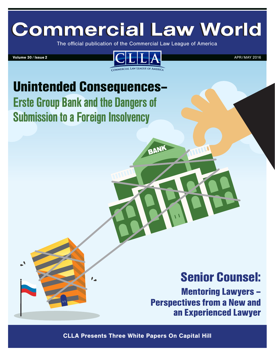# **Commercial Law World**

The official publication of the Commercial Law League of America



BANK

## Unintended Consequences– Erste Group Bank and the Dangers of Submission to a Foreign Insolvency

### Senior Counsel:

Mentoring Lawyers – Perspectives from a New and an Experienced Lawyer

CLLA Presents Three White Papers On Capital Hill